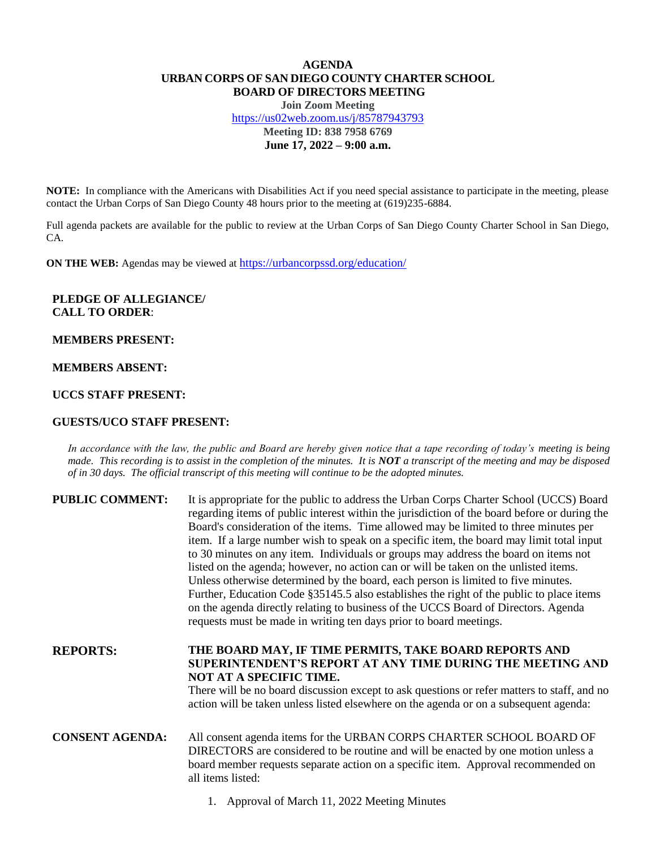# **AGENDA URBAN CORPS OF SAN DIEGO COUNTY CHARTER SCHOOL BOARD OF DIRECTORS MEETING**

**Join Zoom Meeting** <https://us02web.zoom.us/j/85787943793> **Meeting ID: 838 7958 6769 June 17, 2022 – 9:00 a.m.**

**NOTE:** In compliance with the Americans with Disabilities Act if you need special assistance to participate in the meeting, please contact the Urban Corps of San Diego County 48 hours prior to the meeting at (619)235-6884.

Full agenda packets are available for the public to review at the Urban Corps of San Diego County Charter School in San Diego, CA.

**ON THE WEB:** Agendas may be viewed at <https://urbancorpssd.org/education/>

# **PLEDGE OF ALLEGIANCE/ CALL TO ORDER**:

### **MEMBERS PRESENT:**

## **MEMBERS ABSENT:**

# **UCCS STAFF PRESENT:**

### **GUESTS/UCO STAFF PRESENT:**

*In accordance with the law, the public and Board are hereby given notice that a tape recording of today's meeting is being made. This recording is to assist in the completion of the minutes. It is NOT a transcript of the meeting and may be disposed of in 30 days. The official transcript of this meeting will continue to be the adopted minutes.*

| <b>PUBLIC COMMENT:</b> | It is appropriate for the public to address the Urban Corps Charter School (UCCS) Board<br>regarding items of public interest within the jurisdiction of the board before or during the<br>Board's consideration of the items. Time allowed may be limited to three minutes per<br>item. If a large number wish to speak on a specific item, the board may limit total input<br>to 30 minutes on any item. Individuals or groups may address the board on items not<br>listed on the agenda; however, no action can or will be taken on the unlisted items.<br>Unless otherwise determined by the board, each person is limited to five minutes.<br>Further, Education Code §35145.5 also establishes the right of the public to place items<br>on the agenda directly relating to business of the UCCS Board of Directors. Agenda<br>requests must be made in writing ten days prior to board meetings. |
|------------------------|----------------------------------------------------------------------------------------------------------------------------------------------------------------------------------------------------------------------------------------------------------------------------------------------------------------------------------------------------------------------------------------------------------------------------------------------------------------------------------------------------------------------------------------------------------------------------------------------------------------------------------------------------------------------------------------------------------------------------------------------------------------------------------------------------------------------------------------------------------------------------------------------------------|
| рерлртс.               | THE ROADD MAV. IF TIME DEDMITS. TAKE ROADD DEDODTS AND                                                                                                                                                                                                                                                                                                                                                                                                                                                                                                                                                                                                                                                                                                                                                                                                                                                   |

# **REPORTS: THE BOARD MAY, IF TIME PERMITS, TAKE BOARD REPORTS AND SUPERINTENDENT'S REPORT AT ANY TIME DURING THE MEETING AND NOT AT A SPECIFIC TIME.**

There will be no board discussion except to ask questions or refer matters to staff, and no action will be taken unless listed elsewhere on the agenda or on a subsequent agenda:

**CONSENT AGENDA:** All consent agenda items for the URBAN CORPS CHARTER SCHOOL BOARD OF DIRECTORS are considered to be routine and will be enacted by one motion unless a board member requests separate action on a specific item. Approval recommended on all items listed:

1. Approval of March 11, 2022 Meeting Minutes